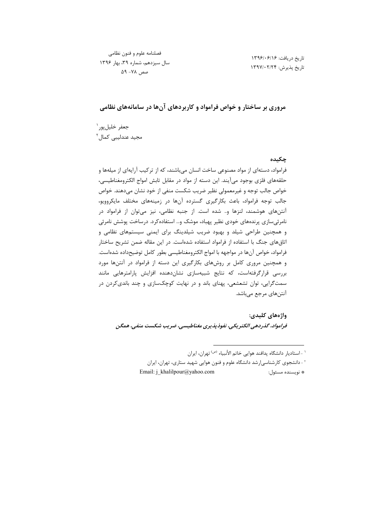تاريخ دريافت: ١٣٩۶/٠۶/١٤ تاريخ پذيرش: ١٣٩٧/٠٢/٢۴

## مروری بر ساختار و خواص فرامواد و کاربردهای آنها در سامانههای نظامی

جعفر خليلپور` مجید عندلیبی کمال<sup>۲</sup>

#### چکىدە

فرامواد، دستهای از مواد مصنوعی ساخت انسان میباشند، که از ترکیب آرایهای از میلهها و حلقههای فلزی بوجود میآیند. این دسته از مواد در مقابل تابش امواج الکترومغناطیسی، خواص جالب توجه و غیرمعمولی نظیر ضریب شکست منفی از خود نشان میدهند. خواص جالب توجه فرامواد، باعث بكارگيري گسترده آنها در زمينههاي مختلف مايكروويو، آنتنهای هوشمند، لنزها و… شده است. از جنبه نظامی، نیز میتوان از فرامواد در نامرئی سازی پرندههای خودی نظیر پهباد، موشک و… استفاده کرد. درساخت پوشش نامرئی و همچنین طراحی شیلد و بهبود ضریب شیلدینگ برای ایمنی سیستمهای نظامی و اتاقهای جنگ با استفاده از فرامواد استفاده شدهاست. در این مقاله ضمن تشریح ساختار فرامواد، خواص آنها در مواجهه با امواج الكترومغناطيسي بطور كامل توضيحداده شدهاست. و همچنین مروری کامل بر روشهای بکارگیری این دسته از فرامواد در آنتنها مورد بررسی قرارگرفتهاست، که نتایج شبیهسازی نشاندهنده افزایش پارامترهایی مانند سمتگرایی، توان تشعشعی، پهنای باند و در نهایت کوچکسازی و چند باندیکردن در آنتنهای مرجع میباشد.

واژەھاي كليدى: فرامواد، گذردهی الکتریکی، نفوذپذیری مغناطیسی، ضریب شکست منفی، همگن

<sup>&#</sup>x27; -استاديار دانشگاه پدافند هوايي خاتم الأنبياء <sup>(ص)</sup> تهران، ايران

<sup>&</sup>lt;sup>۲</sup> - دانشجوی کارشناسی|رشد دانشگاه علوم و فنون هوایی شهید ستاری، تهران، ایران Email: j khalilpour@yahoo.com

<sup>\*</sup> نويسنده مسئول: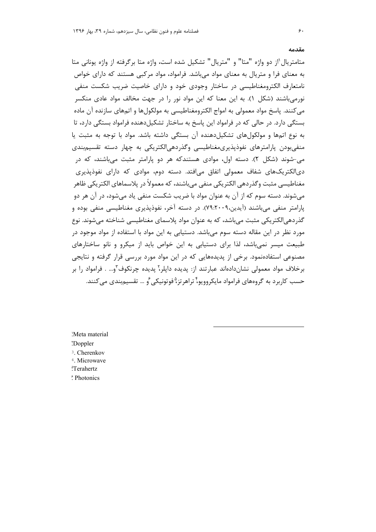متامتريال ٰاز دو واژه "متا" و "متريال" تشكيل شده است، واژه متا برگرفته از واژه يوناني متا به معنای فرا و متریال به معنای مواد می باشد. فرامواد، مواد مرکبی هستند که دارای خواص نامتعارف الکترومغناطیسی در ساختار وجودی خود و دارای خاصیت ضریب شکست منفی نورمی باشند (شکل ۱). به این معنا که این مواد نور را در جهت مخالف مواد عادی منکسر می کنند. پاسخ مواد معمولی به امواج الکترومغناطیسی به مولکولها و اتمهای سازنده آن ماده بستگی دارد. در حالی که در فرامواد این پاسخ به ساختار تشکیل دهنده فرامواد بستگی دارد، تا به نوع اتمها و مولکولهای تشکیل دهنده آن بستگی داشته باشد. مواد با توجه به مثبت یا منفی بودن پارامترهای نفوذپذیری مغناطیسی وگذردهی الکتریکی به چهار دسته تقسیم بندی می-شوند (شکل ۲). دسته اول، موادی هستندکه هر دو پارامتر مثبت میباشند، که در دیالکتریکهای شفاف معمولی اتفاق می|فتد. دسته دوم، موادی که دارای نفوذیذیری مغناطیسی مثبت وگذردهی الکتریکی منفی می باشند، که معمولاً در پلاسماهای الکتریکی ظاهر می شوند. دسته سوم که از آن به عنوان مواد با ضریب شکست منفی یاد می شود، در آن هر دو پارامتر منفی می باشند (آیدین،۷۹:۲۰۰۹). در دسته آخر، نفوذپذیری مغناطیسی منفی بوده و گذردهی|لکتریکی مثبت می¦باشد، که به عنوان مواد پلاسمای مغناطیسی شناخته می شوند. نوع مورد نظر در این مقاله دسته سوم می،باشد. دستیابی به این مواد با استفاده از مواد موجود در طبیعت میسر نمی باشد، لذا برای دستیابی به این خواص باید از میکرو و نانو ساختارهای مصنوعی استفادهنمود. برخی از پدیدههایی که در این مواد مورد بررسی قرار گرفته و نتایجی برخلاف مواد معمولی نشاندادهاند عبارتند از: پدیده دایلر،آ پدیده چرنکوف آو… . فرامواد را بر حسب کا<sub>ر</sub>برد به گروههای فرامواد مایکروویو؟ تراهرتز<sup>۵</sup>فوتونیکی <sup>۶</sup>و … تقسیم بندی م*ی ک*نند.

'Meta material \*Doppler <sup>3</sup>. Cherenkov <sup>4</sup>. Microwave <sup>"</sup>Terahertz

*<sup>\*</sup>* Photonics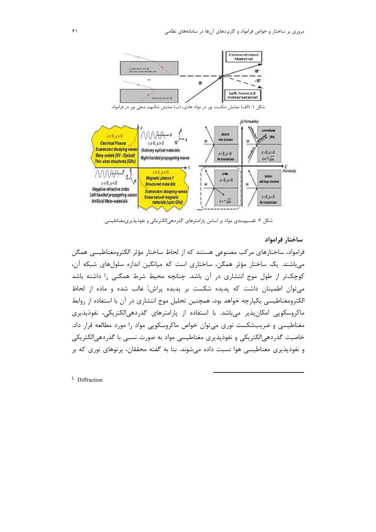

شکل ۱: (الف) نمایش شکست نور در مواد عادی، (ب) نمایش شکست منفی نور در فرامواد.



شکل ۲: تقسیمبندی مواد بر اساس پارامترهای گذردهیالکتریکی و نفوذپذیریمغناطیسی.

### ساختار فرامواد

فرامواد، ساختارهای مرکب مصنوعی هستند که از لحاظ ساختار مؤثر الکترومغناطیسی همگن می باشند. یک ساختار مؤثر همگن، ساختاری است که میانگین اندازه سلولهای شبکه آن، کوچکتر از طول موج انتشاری در آن باشد. چنانچه محیط شرط همگنی را داشته باشد می توان اطمینان داشت که پدیده شکست بر پدیده پراش، غالب شده و ماده از لحاظ الکترومغناطیسی یکپارچه خواهد بود، همچنین تحلیل موج انتشاری در آن با استفاده از روابط ماکروسکوپی امکانپذیر میباشد. با استفاده از پارامترهای گذردهیالکتریکی، نفوذپذیری مغناطیسی و ضریبشکست نوری می توان خواص ماکروسکویی مواد را مورد مطالعه قرار داد. خاصیت گذردهی|لکتریکی و نفوذپذیری مغناطیسی مواد به صورت نسبی با گذردهی|لکتریکی و نفوذیذیری مغناطیسی هوا نسبت داده می شوند. بنا به گفته محققان، پرتوهای نوری که بر

<sup>1</sup>· Diffraction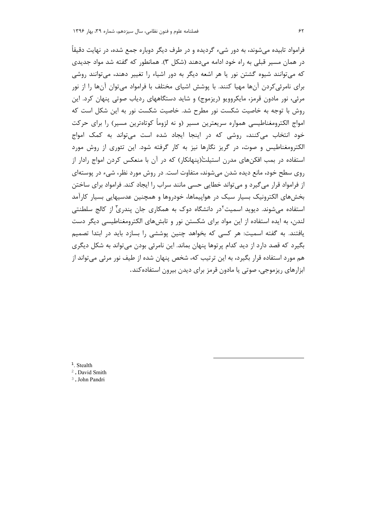فرامواد تابیده میشوند، به دور شیء گردیده و در طرف دیگر دوباره جمع شده، در نهایت دقیقاً در همان مسیر قبلی به راه خود ادامه میدهند (شکل ۳). همانطور که گفته شد مواد جدیدی که می توانند شیوه گشتن نور یا هر اشعه دیگر به دور اشیاء را تغییر دهند، میتوانند روشی برای نامرئی کردن آنها مهیا کنند. با پوشش اشیای مختلف با فرامواد می توان آنها را از نور مرئی، نور مادون قرمز، مایکروویو (ریزموج) و شاید دستگاههای ردیاب صوتی پنهان کرد. این روش با توجه به خاصیت شکست نور مطرح شد. خاصیت شکست نور به این شکل است که امواج الکترومغناطیسی همواره سریعترین مسیر (و نه لزوماً کوتاهترین مسیر) را برای حرکت خود انتخاب می کنند، روشی که در اینجا ایجاد شده است می تواند به کمک امواج الکترومغناطیس و صوت، در گریز نگارها نیز به کار گرفته شود. این تئوری از روش مورد استفاده در بمب افکنهای مدرن استیلت(پنهانکار) که در آن با منعکس کردن امواج رادار از روی سطح خود، مانع دیده شدن می شوند، متفاوت است. در روش مورد نظر، شیء در پوستهای از فرامواد قرار می گیرد و می تواند خطایی حسی مانند سراب را ایجاد کند. فرامواد برای ساختن بخش۵مای الکترونیک بسیار سبک در هواپیماها، خودروها و همچنین عدسیهایی بسیار کارآمد استفاده می شوند. دیوید اسمیت<sup>۲</sup>در دانشگاه دوک به همکاری جان پندری ّاز کالج سلطنتی لندن، به ایده استفاده از این مواد برای شکستن نور و تابشهای الکترومغناطیسی دیگر دست یافتند. به گفته اسمیت: هر کسی که بخواهد چنین پوششی را بسازد باید در ابتدا تصمیم بگیرد که قصد دارد از دید کدام پرتوها پنهان بماند. این نامرئی بودن میتواند به شکل دیگری هم مورد استفاده قرار بگیرد، به این ترتیب که، شخص پنهان شده از طیف نور مرئی می تواند از ابزارهای ریزموجی، صوتی یا مادون قرمز برای دیدن بیرون استفاده کند.

 $1.$  Stealth

<sup>2</sup>. David Smith

<sup>3</sup>. John Pandri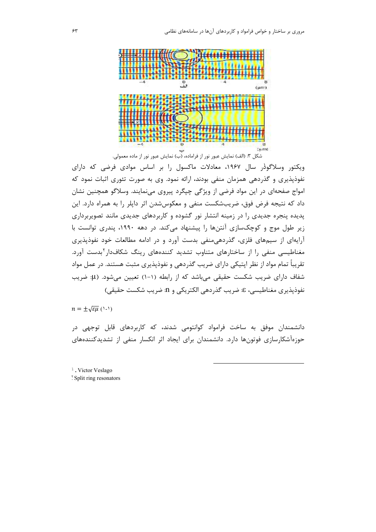

ویکتور وسلاگودر سال ۱۹۶۷، معادلات ماکسول را بر اساس موادی فرضی که دارای نفوذپذیری و گذردهی همزمان منفی بودند، ارائه نمود. وی به صورت تئوری اثبات نمود که امواج صفحهای در این مواد فرضی از ویژگی چپگرد پیروی مینمایند. وسلاگو همچنین نشان داد که نتیجه فرض فوق، ضریبشکست منفی و معکوس شدن اثر دایلر را به همراه دارد. این پدیده پنجره جدیدی را در زمینه انتشار نور گشوده و کاربردهای جدیدی مانند تصویربرداری زیر طول موج و کوچکسازی آنتنها را پیشنهاد میکند. در دهه ۱۹۹۰، پندری توانست با آرایهای از سیمهای فلزی، گذردهی منفی بدست آورد و در ادامه مطالعات خود نفوذپذیری مغناطیسی منفی را از ساختارهای متناوب تشدید کنندههای رینگ شکافدار<sup>۲</sup>بدست آورد. تقریباً تمام مواد از نظر اپتیکی دارای ضریب گذردهی و نفوذپذیری مثبت هستند. در عمل مواد شفاف دارای ضریب شکست حقیقی می باشد که از رابطه (۱-۱) تعیین می شود. (µ: ضریب نفوذپذیری مغناطیسی، ٤: ضریب گذردهی الکتریکی و 11: ضریب شکست حقیقی)

 $n = \pm \sqrt{\varepsilon \mu}$  (1-1)

دانشمندان موفق به ساخت فرامواد کوانتومی شدند، که کاربردهای قابل توجهی در حوزهآشکارسازی فوتونها دارد. دانشمندان برای ایجاد اثر انکسار منفی از تشدیدکنندههای

<sup>1</sup>. Victor Veslago

Split ring resonators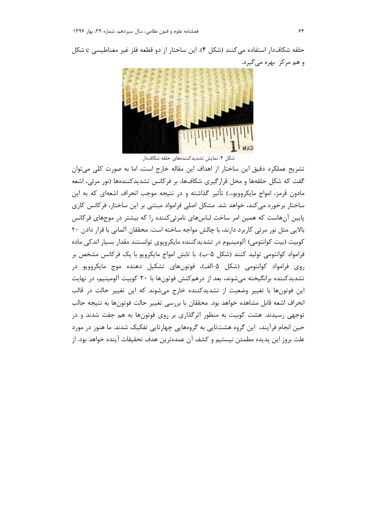حلقه شكافدار استفاده مي كنند (شكل ۴). اين ساختار از دو قطعه فلز غير مغناطيسي c شكل و هم مرکز بهره می گیرد.



شکل ۴: نمایش تشدیدکنندههای حلقه شکافدار.

تشریح عملکرد دقیق این ساختار از اهداف این مقاله خارج است، اما به صورت کلی می توان گفت که شکل حلقهها و محل قرارگیری شکافها، بر فرکانس تشدیدکنندهها (نور مرئی، اشعه مادون قرمز، امواج مایکروویو…) تأثیر گذاشته و در نتیجه موجب انحراف اشعهای که به این ساختار برخورد میکند، خواهد شد. مشکل اصلی فرامواد مبتنی بر این ساختار، فرکانس کاری پایین آنهاست که همین امر ساخت لباسهای نامرئی کننده را که بیشتر در موجهای فرکانس بالایی مثل نور مرئی کاربرد دارند، با چالش مواجه ساخته است. محققان آلمانی با قرار دادن ۲۰ کوبیت (بیت کوانتومی) آلومینیوم در تشدیدکننده مایکرویوی توانستند مقدار بسیار اندکی ماده فرامواد کوانتومی تولید کنند (شکل ۵–ب). با تابش امواج مایکرویو با یک فرکانس مشخص بر روی فرامواد کوانتومی (شکل ۵-الف)، فوتونهای تشکیل دهنده موج مایکروویو در تشدیدکننده برانگیخته میشوند، بعد از درهمکنش فوتونها با ۲۰ کوبیت آلومینیم، در نهایت این فوتونها با تغییر وضعیت از تشدیدکننده خارج میشوند که این تغییر حالت در قالب انحراف اشعه قابل مشاهده خواهد بود. محققان با بررسی تغییر حالت فوتونها به نتیجه جالب توجهی رسیدند. هشت کوبیت به منظور اثرگذاری بر روی فوتونها به هم جفت شدند و در حین انجام فرآیند، این گروه هشتتایی به گروههایی چهارتایی تفکیک شدند. ما هنوز در مورد علت بروز اين پديده مطمئن نيستيم و كشف آن عمدهترين هدف تحقيقات آينده خواهد بود. از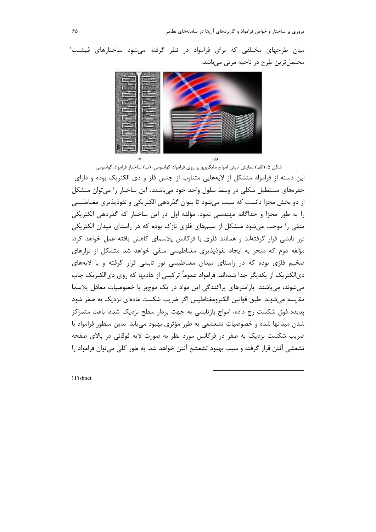میان طرحهای مختلفی که برای فرامواد در نظر گرفته می شود ساختارهای فیشنت ۱ محتملترين طرح در ناحيه مرئي ميباشد.



شكل ۵: (الف) نمايش تابش امواج مايكرويو بر روى فرامواد كوانتومى، (ب) ساختار فرامواد كوانتومى. این دسته از فرامواد متشکل از لایههایی متناوب از جنس فلز و دی الکتریک بوده و دارای حفرههای مستطیل شکلی در وسط سلول واحد خود می باشند. این ساختار را می توان متشکل از دو بخش مجزا دانست که سبب میشود تا بتوان گذردهی الکتریکی و نفوذپذیری مغناطیسی را به طور مجزا و جداگانه مهندسی نمود. مؤلفه اول در این ساختار که گذردهی الکتریکی منفی را موجب میشود متشکل از سیمهای فلزی نازک بوده که در راستای میدان الکتریکی نور تابشی قرار گرفتهاند و همانند فلزی با فرکانس پلاسمای کاهش یافته عمل خواهد کرد. مؤلفه دوم که منجر به ایجاد نفوذیذیری مغناطیسی منفی خواهد شد متشکل از نوارهای ضخیم فلزی بوده که در راستای میدان مغناطیسی نور تابشی قرار گرفته و با لایههای دیالکتریک از یکدیگر جدا شدهاند. فرامواد عموماً ترکیبی از هادیها که روی دیالکتریک چاپ می شوند، میباشند. پارامترهای پراکندگی این مواد در یک موجبر با خصوصیات معادل پلاسما مقایسه میشوند. طبق قوانین الکترومغناطیس اگر ضریب شکست مادهای نزدیک به صفر شود پدیده فوق شکست رخ داده، امواج بازتابشی به جهت بردار سطح نزدیک شده، باعث متمرکز شدن میدانها شده و خصوصیات تشعشعی به طور مؤثری بهبود می یابد. بدین منظور فرامواد با ضریب شکست نزدیک به صفر در فرکانس مورد نظر به صورت لایه فوقانی در بالای صفحه تشعشی آنتن قرار گرفته و سبب بهبود تشعشع آنتن خواهد شد. به طور کلی می توان فرامواد را

<sup>1</sup> Fishnet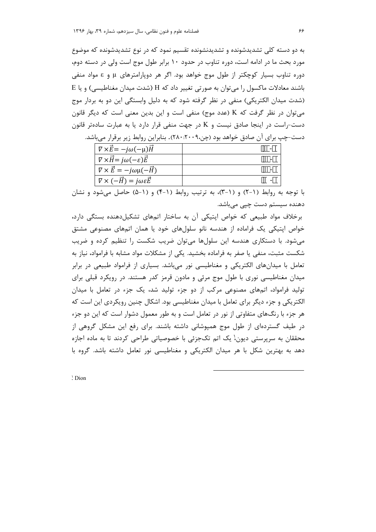به دو دسته کلی تشدیدشونده و تشدیدنشونده تقسیم نمود که در نوع تشدیدشونده که موضوع مورد بحث ما در ادامه است، دوره تناوب در حدود ۱۰ برابر طول موج است ولی در دسته دوم، دوره تناوب بسیار کوچکتر از طول موج خواهد بود. اگر هر دوپارامترهای µ و ε مواد منفی باشند معادلات ماکسول را می توان به صورتی تغییر داد که H (شدت میدان مغناطیسی) و یا E (شدت میدان الکتریکی) منفی در نظر گرفته شود که به دلیل وابستگی این دو به بردار موج می توان در نظر گرفت که K (عدد موج) منفی است و این بدین معنی است که دیگر قانون دست-راست در اینجا صادق نیست و K در جهت منفی قرار دارد یا به عبارت سادهتر قانون دست–چپ برای آن صادق خواهد بود (چن،۲۰۰۹،۴۰۰). بنابراین روابط زیر برقرار میباشد.

| $\nabla \times \vec{E} = -j\omega(-\mu)\vec{H}$          |  |
|----------------------------------------------------------|--|
| $\nabla \times \vec{H} = j\omega(-\varepsilon)\vec{E}$   |  |
| $\nabla \times \vec{E} = -j\omega\mu(-\vec{H})$          |  |
| $\nabla \times (-\vec{H}) = j\omega \varepsilon \vec{E}$ |  |

با توجه به روابط (۱-۲) و (۱-۳)، به ترتیب روابط (۱-۴) و (۱-۵) حاصل می شود و نشان دهنده سیستم دست چیے مے،باشد.

برخلاف مواد طبیعی که خواص اپتیکی آن به ساختار اتمهای تشکیل دهنده بستگی دارد، خواص اپتیکی یک فراماده از هندسه نانو سلولهای خود یا همان اتمهای مصنوعی مشتق میشود. با دستکاری هندسه این سلولها میتوان ضریب شکست را تنظیم کرده و ضریب شکست مثبت، منفی یا صفر به فراماده بخشید. یکی از مشکلات مواد مشابه با فرامواد، نیاز به تعامل با میدانهای الکتریکی و مغناطیسی نور میباشد. بسیاری از فرامواد طبیعی در برابر میدان مغناطیسی نوری با طول موج مرئی و مادون قرمز کدر هستند. در رویکرد قبلی برای تولید فرامواد، اتمهای مصنوعی مرکب از دو جزء تولید شد، یک جزء در تعامل با میدان الکتریکی و جزء دیگر برای تعامل با میدان مغناطیسی بود. اشکال چنین رویکردی این است که هر جزء با رنگ@ای متفاوتی از نور در تعامل است و به طور معمول دشوار است که این دو جزء در طیف گستردهای از طول موج همپوشانی داشته باشند. برای رفع این مشکل گروهی از محققان به سرپرستی دیون،ٰ یک اتم تکجزئی با خصوصیاتی طراحی کردند تا به ماده اجازه دهد به بهترین شکل با هر میدان الکتریکی و مغناطیسی نور تعامل داشته باشد. گروه با

<sup>1</sup> Dion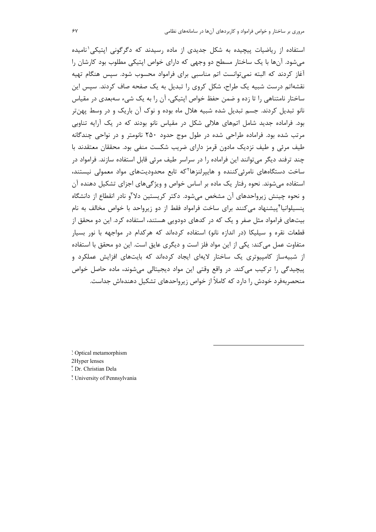استفاده از ریاضیات پیچیده به شکل جدیدی از ماده رسیدند که دگرگونی ایتیکی<sup>۱</sup>نامیده می شود. آنها با یک ساختار مسطح دو وجهی که دارای خواص اپتیکی مطلوب بود کارشان را آغاز کردند که البته نمی توانست اتم مناسبی برای فرامواد محسوب شود. سپس هنگام تهیه نقشهاتم درست شبیه یک طراح، شکل کروی را تبدیل به یک صفحه صاف کردند. سیس این ساختار نامتناهی را تا زده و ضمن حفظ خواص ایتیکی، آن را به یک شیء سهبعدی در مقیاس نانو تبديل كردند. جسم تبديل شده شبيه هلال ماه بوده و نوک آن باريک و در وسط پهنتر بود. فراماده جدید شامل اتمهای هلالی شکل در مقیاس نانو بودند که در یک آرایه تناوبی مرتب شده بود. فراماده طراحی شده در طول موج حدود ۲۵۰ نانومتر و در نواحی چندگانه طیف مرئی و طیف نزدیک مادون قرمز دارای ضریب شکست منفی بود. محققان معتقدند با چند ترفند دیگر میتوانند این فراماده را در سراسر طیف مرئی قابل استفاده سازند. فرامواد در ساخت دستگاههای نامرئی *کن*نده و هاییرلنزها<sup>۲</sup>که تابع محدودیتهای مواد معمولی نیستند، استفاده می شوند. نحوه رفتار یک ماده بر اساس خواص و ویژگی های اجزای تشکیل دهنده آن و نحوه چینش زیرواحدهای آن مشخص می شود. دکتر کریستین دلا<sup>۳</sup>و نادر انقطاع از دانشگاه ینسیلوانیا<sup>۴</sup>ییشنهاد می کنند برای ساخت فرامواد فقط از دو زیرواحد با خواص مخالف به نام بیتهای فرامواد مثل صفر و یک که در کدهای دودویی هستند، استفاده کرد. این دو محقق از قطعات نقره و سیلیکا (در اندازه نانو) استفاده کردهاند که هرکدام در مواجهه با نور بسیار متفاوت عمل میکند: یکی از این مواد فلز است و دیگری عایق است. این دو محقق با استفاده از شبیهساز کامپیوتری یک ساختار لایهای ایجاد کردهاند که بایتهای افزایش عملکرد و پیچیدگی را ترکیب میکند. در واقع وقتی این مواد دیجیتالی میشوند، ماده حاصل خواص منحصريهفرد خودش را دارد كه كاملاً از خواص زیرواحدهای تشكیل دهندهاش جداست.

! Optical metamorphism

2Hyper lenses

<sup>r</sup> Dr. Christian Dela

! University of Pennsylvania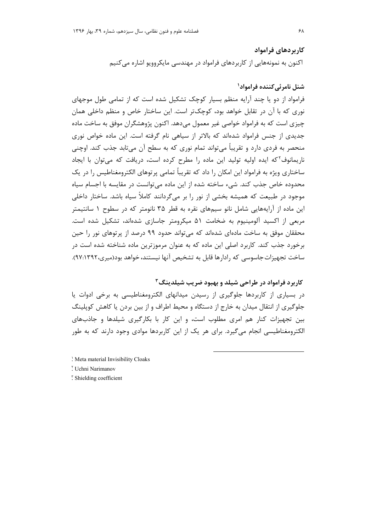كاربردهاي فرامواد اکنون به نمونههایی از کاربردهای فرامواد در مهندسی مایکروویو اشاره می کنیم

# شنل نامرئي كننده فراموادا

فرامواد از دو یا چند آرایه منظم بسیار کوچک تشکیل شده است که از تمامی طول موجهای نوري كه با آن در تقابل خواهد بود، كوچك تر است. اين ساختار خاص و منظم داخلي همان چیزی است که به فرامواد خواصی غیر معمول میدهد. اکنون پژوهشگران موفق به ساخت ماده جدیدی از جنس فرامواد شدهاند که بالاتر از سیاهی نام گرفته است. این ماده خواص نوری منحصر به فردي دارد و تقريباً مي تواند تمام نوري كه به سطح آن مي تابد جذب كند. اوچني ناریمانوف<sup>۲</sup>که ایده اولیه تولید این ماده را مطرح کرده است، دریافت که می توان با ایجاد ساختاری ویژه به فرامواد این امکان را داد که تقریباً تمامی پرتوهای الکترومغناطیس را در یک محدوده خاص جذب کند. شیء ساخته شده از این ماده می توانست در مقایسه با اجسام سیاه موجود در طبیعت که همیشه بخشی از نور را بر می گردانند کاملاً سیاه باشد. ساختار داخلی این ماده از آرایههایی شامل نانو سیمهای نقره به قطر ۳۵ نانومتر که در سطوح ۱ سانتیمتر مربعی از اکسید آلومینیوم به ضخامت ۵۱ میکرومتر جاسازی شدهاند، تشکیل شده است. محققان موفق به ساخت مادهای شدهاند که می تواند حدود ۹۹ درصد از پرتوهای نور را حین برخورد جذب کند. کاربرد اصلی این ماده که به عنوان مرموزترین ماده شناخته شده است در ساخت تجهیزات جاسوسی که رادارها قابل به تشخیص آنها نیستند، خواهد بود(میری،۹۷:۱۳۹۲).

## کاربرد فرامواد در طراحی شیلد و بهیود ضرب شیلدینگ<sup>۳</sup>

در بسیاری از کاربردها جلوگیری از رسیدن میدانهای الکترومغناطیسی به برخی ادوات یا جلوگیری از انتقال میدان به خارج از دستگاه و محیط اطراف و از بین بردن یا کاهش کوپلینگ بین تجهیزات کنار هم امری مطلوب است، و این کار با بکارگیری شیلدها و جاذبهای الکترومغناطیسی انجام می گیرد. برای هر یک از این کاربردها موادی وجود دارند که به طور

: Meta material Invisibility Cloaks

<sup>r</sup> Uchni Narimanov

" Shielding coefficient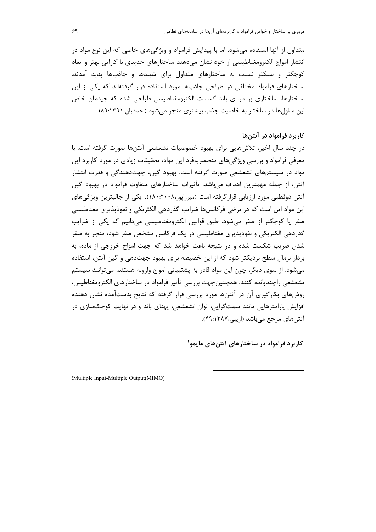متداول از آنها استفاده می شود. اما با پیدایش فرامواد و ویژگی های خاصی که این نوع مواد در انتشار امواج الكترومغناطيسي از خود نشان مىدهند ساختارهاى جديدى با كارايي بهتر و ابعاد کوچکتر و سبکتر نسبت به ساختارهای متداول برای شیلدها و جاذبها پدید آمدند. ساختارهای فرامواد مختلفی در طراحی جاذبها مورد استقاده قرار گرفتهاند که یکی از این ساختارها، ساختاری بر مبنای باند گسست الکترومغناطیسی طراحی شده که چیدمان خاص این سلولها در ساختار به خاصیت جذب بیشتری منجر می شود (احمدیان،۸۹:۱۳۹۱).

## کاربرد فرامواد در آنتن ها

در چند سال اخیر، تلاشهایی برای بهبود خصوصیات تشعشعی آنتنها صورت گرفته است. با معرفی فرامواد و بررسی ویژگیهای منحصربهفرد این مواد، تحقیقات زیادی در مورد کاربرد این مواد در سیستمهای تشعشعی صورت گرفته است. بهبود گین، جهتدهندگی و قدرت انتشار آنتن، از جمله مهمترین اهداف می،باشد. تأثیرات ساختارهای متفاوت فرامواد در بهبود گین آنتن دوقطبی مورد ارزیابی قرارگرفته است (میرزایور۲۰۰۸٬۰۶۰۰). یکی از جالبترین ویژگی های این مواد این است که در برخی فرکانسها ضرایب گذردهی الکتریکی و نفوذپذیری مغناطیسی صفر یا کوچکتر از صفر می شود. طبق قوانین الکترومغناطیسی می دانیم که یکی از ضرایب گذردهی الکتریکی و نفوذیذیری مغناطیسی در یک فرکانس مشخص صفر شود، منجر به صفر شدن ضریب شکست شده و در نتیجه باعث خواهد شد که جهت امواج خروجی از ماده، به بردار نرمال سطح نزدیکتر شود که از این خصیصه برای بهبود جهتدهی و گین آنتن، استفاده میشود. از سوی دیگر، چون این مواد قادر به پشتیبانی امواج وارونه هستند، میتوانند سیستم تشعشعي راچندبانده كنند. همچنين جهت بررسي تأثير فرامواد در ساختارهاي الكترومغناطيس، روشهای بکارگیری آن در آنتنها مورد بررسی قرار گرفته که نتایج بدستآمده نشان دهنده افزایش پارامترهایی مانند سمتگرایی، توان تشعشعی، پهنای باند و در نهایت کوچکسازی در آنتن های مرجع می باشد (اریبی،۱۳۸۷-۴۹:۱۴۸).

کاربرد فرامواد در ساختارهای آنتن های مایمو<sup>۱</sup>

Multiple Input-Multiple Output(MIMO)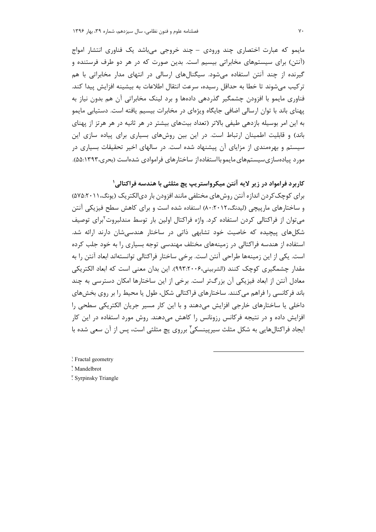مایمو که عبارت اختصاری چند ورودی – چند خروجی می باشد یک فناوری انتشار امواج (آنتن) برای سیستمهای مخابراتی بیسیم است. بدین صورت که در هر دو طرف فرستنده و گیرنده از چند آنتن استفاده میشود. سیگنالهای ارسالی در انتهای مدار مخابراتی با هم تركيب مي شوند تا خطا به حداقل رسيده، سرعت انتقال اطلاعات به بيشينه افزايش پيدا كند. فناوری مایمو با افزودن چشمگیر گذردهی دادهها و برد لینک مخابراتی آن هم بدون نیاز به یهنای باند با توان ارسالی اضافی جایگاه ویژهای در مخابرات بیسیم یافته است. دستیابی مایمو به این امر بوسیله بازدهی طیفی بالاتر (تعداد بیتهای بیشتر در هر ثانیه در هر هرتز از یهنای باند) و قابلیت اطمینان ارتباط است. در این بین روشهای بسیاری برای پیاده سازی این سیستم و بهرهمندی از مزایای آن پیشنهاد شده است. در سالهای اخیر تحقیقات بسیاری در مورد پیادهسازی سیستمهای مایمو بااستفاده از ساختارهای فراموادی شدهاست (بحری،۱۳۹۳).۵۵:۱

# کاربرد فرامواد در زیر لایه آنتن میکرواستریپ یچ مثلثی با هندسه فراکتالی'

برای کوچک کردن اندازه آنتن روشهای مختلفی مانند افزودن بار دیالکتریک (یونگ،۲۰۱۱:۷۵٪) و ساختارهای مارپیچی (لیدنگ،۲۰۱۲،۸۰) استفاده شده است و برای کاهش سطح فیزیکی آنتن می توان از فراکتالی کردن استفاده کرد. واژه فراکتال اولین بار توسط مندلبروت<sup>۲</sup>برای توصیف شکلهای پیچیده که خاصیت خود تشابهی ذاتی در ساختار هندسی شان دارند ارائه شد. استفاده از هندسه فراکتالی در زمینههای مختلف مهندسی توجه بسیاری را به خود جلب کرده است. یکی از این زمینهها طراحی آنتن است. برخی ساختار فراکتالی توانستهاند ابعاد آنتن را به مقدار چشمگیری کوچک کنند (الشربینی،۹۹۳:۲۰۰۶). این بدان معنی است که ابعاد الکتریکی معادل آنتن از ابعاد فیزیکی آن بزرگتر است. برخی از این ساختارها امکان دسترسی به چند باند فرکانسی ,ا فراهم می کنند. ساختارهای فراکتالی شکل، طول یا محیط را بر روی بخشهای داخلی یا ساختارهای خارجی افزایش میدهند و با این کار مسیر جریان الکتریکی سطحی را افزایش داده و در نتیجه فرکانس رزونانس را کاهش میدهند. روش مورد استفاده در این کار ایجاد فراکتالهایی به شکل مثلث سیرپینسکی ٔ برروی پچ مثلثی است، پس از آن سعی شده با

: Fractal geometry

Mandelbrot

" Syrpinsky Triangle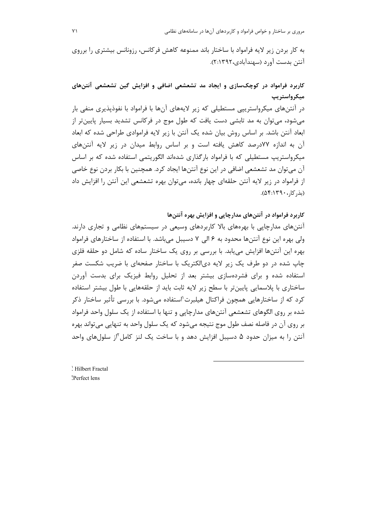مروری بر ساختار و خواص فرامواد و کاربردهای آنها در سامانههای نظامی

به کار بردن زیر لایه فرامواد با ساختار باند ممنوعه کاهش فرکانس، رزونانس بیشتری را برروی آنتن بدست آورد (سهندآبادی،۲۹۲۲:۲).

کاربرد فرامواد در کوچکسازی و ایجاد مد تشعشعی اضافی و افزایش گین تشعشعی آنتنهای میکرواستریپ

در آنتنهای میکرواستریپی مستطیلی که زیر لایههای آنها با فرامواد با نفوذپذیری منفی بار می شود، می توان به مد تابشی دست یافت که طول موج در فرکانس تشدید بسیار پایین تر از ابعاد آنتن باشد. بر اساس روش بیان شده یک آنتن با زیر لایه فراموادی طراحی شده که ابعاد آن به اندازه ۷۷درصد کاهش یافته است و بر اساس روابط میدان در زیر لایه آنتنهای میکرواستریپ مستطیلی که با فرامواد بارگذاری شدهاند الگوریتمی استفاده شده که بر اساس آن می توان مد تشعشعی اضافی در این نوع آنتنها ایجاد کرد. همچنین با بکار بردن نوع خاصی از فرامواد در زیر لایه آنتن حلقهای چهار بانده، میتوان بهره تشعشعی این آنتن را افزایش داد (بذ, كا, ، ۵۴:۱۳۹۰).

کاربرد فرامواد در آنتنهای مدارچاپی و افزایش بهره آنتنها

آنتنهای مدارچاپی با بهرههای بالا کاربردهای وسیعی در سیستمهای نظامی و تجاری دارند. ولي بهره اين نوع آنتنها محدود به ۶ الي ۷ دسيبل مي باشد. با استفاده از ساختارهاي فرامواد بهره این آنتنها افزایش می یابد. با بررسی بر روی یک ساختار ساده که شامل دو حلقه فلزی چاپ شده در دو طرف یک زیر لایه دی|لکتریک با ساختار صفحه|ی با ضریب شکست صفر استفاده شده و برای فشردهسازی بیشتر بعد از تحلیل روابط فیزیک برای بدست آوردن ساختاری با پلاسمایی پایین تر با سطح زیر لایه ثابت باید از حلقههایی با طول بیشتر استفاده کرد که از ساختارهایی همچون فراکتال هیلبرت`استفاده میشود. با بررسی تأثیر ساختار ذکر شده بر روی الگوهای تشعشعی آنتنهای مدارچاپی و تنها با استفاده از یک سلول واحد فرامواد بر روی آن در فاصله نصف طول موج نتیجه میشود که یک سلول واحد به تنهایی میتواند بهره آنتن را به میزان حدود ۵ دسیبل افزایش دهد و با ساخت یک لنز کامل ۱۲ سلولهای واحد

Hilbert Fractal <sup>r</sup>Perfect lens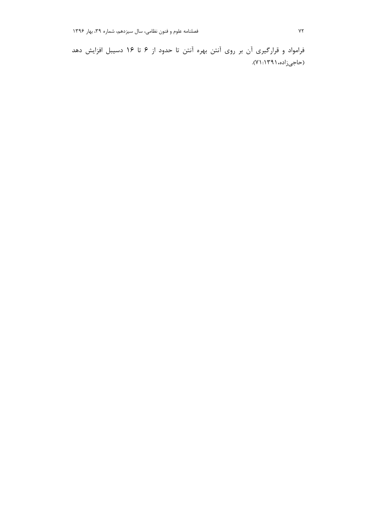فرامواد و قرارگیری آن بر روی آنتن بهره آنتن تا حدود از ۶ تا ۱۶ دسیبل افزایش دهد (حاجيزاده،١٣٩١: ٧١).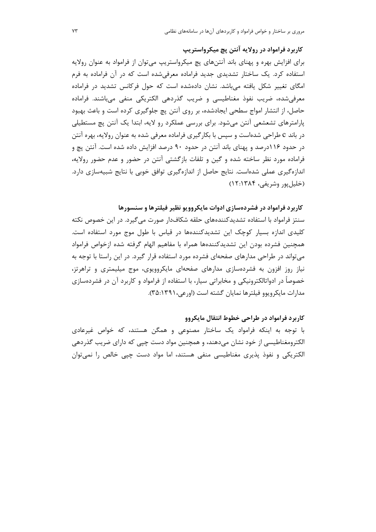کاربرد فرامواد در رولایه آنتن یچ میکرواستریپ

برای افزایش بهره و پهنای باند آنتنهای پچ میکرواستریپ می توان از فرامواد به عنوان رولایه استفاده کرد. یک ساختار تشدیدی جدید فراماده معرفی شده است که در آن فراماده به فرم امگای تغییر شکل یافته مے،باشد. نشان دادهشده است که حول فرکانس تشدید در فراماده معرفی شده، ضریب نفوذ مغناطیسی و ضریب گذردهی الکتریکی منفی می باشند. فراماده حاصل، از انتشار امواج سطحی ایجادشده، بر روی آنتن یچ جلوگیری کرده است و باعث بهبود پارامترهای تشعشعی آنتن میشود. برای بررسی عملکرد رو لایه، ابتدا یک آنتن یچ مستطیلی در باند c طراحی شدهاست و سپس با بکارگیری فراماده معرفی شده به عنوان رولایه، بهره آنتن در حدود ۱۱۶درصد و پهنای باند آنتن در حدود ۹۰ درصد افزایش داده شده است. آنتن پچ و فراماده مورد نظر ساخته شده و گین و تلفات بازگشتی آنتن در حضور و عدم حضور رولایه، اندازهگیری عملی شدهاست. نتایج حاصل از اندازهگیری توافق خوبی با نتایج شبیهسازی دارد. (خليل يور وشريفي، ١٣٨۴:١٣٨١)

کاربرد فرامواد در فشردهسازی ادوات مایکروویو نظیر فیلترها و سنسورها

سنتز فرامواد با استفاده تشدیدکنندههای حلقه شکافدار صورت می گیرد. در این خصوص نکته کلیدی اندازه بسیار کوچک این تشدیدکنندهها در قیاس با طول موج مورد استفاده است. همچنین فشرده بودن این تشدیدکنندهها همراه با مفاهیم الهام گرفته شده ازخواص فرامواد می تواند در طراحی مدارهای صفحهای فشرده مورد استفاده قرار گیرد. در این راستا با توجه به نیاز روز افزون به فشردهسازی مدارهای صفحهای مایکروویوی، موج میلیمتری و تراهرتز، خصوصاً در ادواتالکترونیکی و مخابراتی سیار، با استفاده از فرامواد و کاربرد آن در فشردهسازی مدارات مايكرويوو فيلترها نمايان گشته است (اورعي، ٣٥:١٣٩١).

کاربرد فرامواد در طراحی خطوط انتقال مایکروو با توجه به اینکه فرامواد یک ساختار مصنوعی و همگن هستند، که خواص غیرعادی الکترومغناطیسی از خود نشان میدهند، و همچنین مواد دست چپی که دارای ضریب گذردهی الکتریکی و نفوذ پذیری مغناطیسی منفی هستند، اما مواد دست چپی خالص را نمیتوان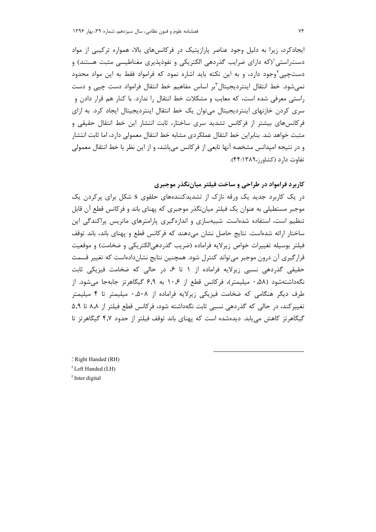ایجادکرد، زیرا به دلیل وجود عناصر پارازیتیک در فرکانس های بالا، همواره ترکیبی از مواد دستراستی'(که دارای ضرایب گذردهی الکتریکی و نفوذپذیری مغناطیسی مثبت هستند) و دستچیی<sup>۲</sup>وجود دارد، و به این نکته باید اشاره نمود که فرامواد فقط به این مواد محدود نمی شود. خط انتقال اینتردیجیتال ّبر اساس مفاهیم خط انتقال فرامواد دست چیبی و دست راستی معرفی شده است، که معایب و مشکلات خط انتقال را ندارد. با کنار هم قرار دادن و سری کردن خازنهای اینتردیجیتال می توان یک خط انتقال اینتردیجیتال ایجاد کرد. به ازای فرکانسهای بیشتر از فرکانس تشدید سری ساختار، ثابت انتشار این خط انتقال حقیقی و مثبت خواهد شد. بنابراین خط انتقال عملکردی مشابه خط انتقال معمولی دارد، اما ثابت انتشار و در نتیجه امپدانس مشخصه آنها تابعی از فرکانس میباشد، و از این نظر با خط انتقال معمولی تفاوت دارد (کشاورز،۴۴:۱۳۸۹).

کاربرد فرامواد در طراحی و ساخت فیلتر میاننگذر موجبری

در یک کاربرد جدید یک ورقه نازک از تشدیدکنندههای حلقوی s شکل برای پرکردن یک موجبر مستطیلی به عنوان یک فیلتر میاننگذر موجبری که پهنای باند و فرکانس قطع آن قابل تنظیم است، استفاده شدهاست. شبیهسازی و اندازهگیری پارامترهای ماتریس پراکندگی این ساختار ارائه شدهاست. نتایج حاصل نشان مے دهند که فرکانس قطع و پهنای باند، باند توقف فيلتر بوسيله تغييرات خواص زيرلايه فراماده (ضريب گذردهي|لكتريكي و ضخامت) و موقعيت قرارگیری آن درون موجبر می تواند کنترل شود. همچنین نتایج نشاندادهاست که تغییر قسمت حقیقی گذردهی نسبی زیرلایه فراماده از ۱ تا ۶، در حالی که ضخامت فیزیکی ثابت نگهداشتهشود (۵۸,۰ میلیمتر)، فرکانس قطع از ۱۰٫۶ به ۶٫۹ گیگاهرتز جابهجا می شود. از طرف دیگر هنگامی که ضخامت فیزیکی زیرلایه فراماده از ۰٫۵۰۸ میلیمتر تا ۴ میلیمتر تغییر کند، در حالی که گذردهی نسبی ثابت نگهداشته شود، فرکانس قطع فیلتر از ۸٫۸ تا ۵٫۹ گیگاهرتز کاهش می یابد. دیدهشده است که پهنای باند توقف فیلتر از حدود ۴٫۷ گیگاهرتز تا

: Right Handed (RH) <sup>5</sup> Left Handed (LH) <sup>r</sup> Inter digital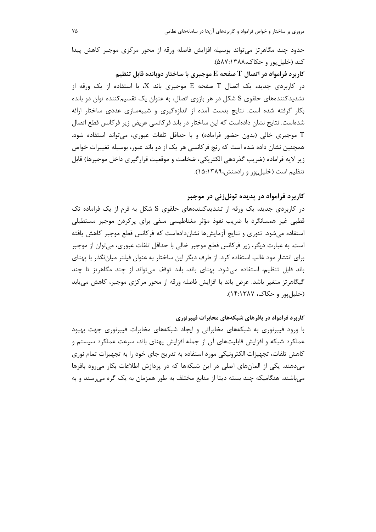حدود چند مگاهرتز می تواند بوسیله افزایش فاصله ورقه از محور مرکزی موجبر کاهش پیدا کند (خلیل یو, و حکاک،۱۳۸۸:۵۸۷).

کاربرد فرامواد در اتصال  $\mathbf T$  صفحه  $\mathbf E$  موجبری با ساختار دوبانده قابل تنظیم در کاربردی جدید، یک اتصال T صفحه E موجبری باند X، با استفاده از یک ورقه از تشدیدکنندههای حلقوی S شکل در هر بازوی اتصال، به عنوان یک تقسیمکننده توان دو بانده بکار گرفته شده است. نتایج بدست آمده از اندازهگیری و شبیهسازی عددی ساختار ارائه شدهاست. نتایج نشان دادهاست که این ساختار در باند فرکانسی عریض زیر فرکانس قطع اتصال موجبری خالی (بدون حضور فراماده) و با حداقل تلفات عبوری، میتواند استفاده شود.  $\top$ همچنین نشان داده شده است که رنج فرکانسی هر یک از دو باند عبور، بوسیله تغییرات خواص زير لايه فراماده (ضريب گذردهي الكتريكي، ضخامت و موقعيت قرارگيري داخل موجبرها) قابل تنظیم است (خلیل بور و رادمنش،۱۳۸۹:۱۵:۱۵).

## کاربرد فرامواد در پدیده تونلزنی در موجبر

در کاربردی جدید، یک ورقه از تشدیدکنندههای حلقوی S شکل به فرم از یک فراماده تک قطبی غیر همسانگرد با ضریب نفوذ مؤثر مغناطیسی منفی برای پرکردن موجبر مستطیلی استفاده می شود. تئوری و نتایج آزمایش ها نشاندادهاست که فرکانس قطع موجبر کاهش یافته است. به عبارت دیگر، زیر فرکانس قطع موجبر خالی با حداقل تلفات عبوری، میتوان از موجبر برای انتشار مود غالب استفاده کرد. از طرف دیگر این ساختار به عنوان فیلتر میاننگذر با پهنای باند قابل تنظیم، استفاده می شود. یهنای باند، باند توقف می تواند از چند مگاهرتز تا چند گیگاهرتز متغیر باشد. عرض باند با افزایش فاصله ورقه از محور مرکزی موجبر، کاهش می یابد (خليل يور و حكاك، ۱۳۸۷:۱۴).

### کاربرد فرامواد در بافرهای شبکههای مخابرات فیبرنوری

با ورود فیبرنوری به شبکههای مخابراتی و ایجاد شبکههای مخابرات فیبرنوری جهت بهبود عملکرد شبکه و افزایش قابلیتهای آن از جمله افزایش پهنای باند، سرعت عملکرد سیستم و کاهش تلفات، تجهیزات الکترونیکی مورد استفاده به تدریج جای خود را به تجهیزات تمام نوری میدهند. یکی از المانهای اصلی در این شبکهها که در پردازش اطلاعات بکار می رود بافرها می باشند. هنگامیکه چند بسته دیتا از منابع مختلف به طور همزمان به یک گره می رسند و به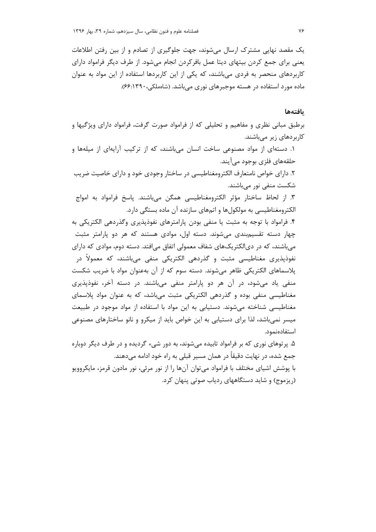یک مقصد نهایی مشترک ارسال می شوند، جهت جلوگیری از تصادم و از بین رفتن اطلاعات یعنی برای جمع کردن بیتهای دیتا عمل بافرکردن انجام میشود. از طرف دیگر فرامواد دارای کاربردهای منحصر به فردی می باشند، که یکی از این کاربردها استفاده از این مواد به عنوان ماده مورد استفاده در هسته موجبرهای نوری می باشد. (شاهملکی، ۲۹۰(۶۶:۱۳۹۰).

#### بافتهها

برطبق مبانی نظری و مفاهیم و تحلیلی که از فرامواد صورت گرفت، فرامواد دارای ویژگیها و کاربردهای زیر میباشند.

۱. دستهای از مواد مصنوعی ساخت انسان میباشند، که از ترکیب آرایهای از میلهها و حلقههاي فلزي بوجود ميآيند. ۲. دارای خواص نامتعارف الکترومغناطیسی در ساختار وجودی خود و دارای خاصیت ضریب شکست منفی نور می باشند. ٣. از لحاظ ساختار مؤثر الكترومغناطيسي همگن مي باشند. ياسخ فرامواد به امواج الکترومغناطیسی به مولکولها و اتمهای سازنده آن ماده بستگی دارد. ۴. فرامواد با توجه به مثبت یا منفی بودن پارامترهای نفوذپذیری وگذردهی الکتریکی به چهار دسته تقسیمبندی می شوند. دسته اول، موادی هستند که هر دو پارامتر مثبت میباشند، که در دیالکتریکهای شفاف معمولی اتفاق میافتد. دسته دوم، موادی که دارای نفوذپذیری مغناطیسی مثبت و گذردهی الکتریکی منفی میباشند، که معمولاً در پلاسماهای الکتریکی ظاهر میشوند. دسته سوم که از آن بهعنوان مواد با ضریب شکست منفی یاد می شود، در آن هر دو پارامتر منفی می باشند. در دسته آخر، نفوذپذیری مغناطیسی منفی بوده و گذردهی الکتریکی مثبت می باشد، که به عنوان مواد پلاسمای مغناطیسی شناخته می شوند. دستیابی به این مواد با استفاده از مواد موجود در طبیعت میسر نمی باشد، لذا برای دستیابی به این خواص باید از میکرو و نانو ساختارهای مصنوعی استفادەنمود.

۵. پرتوهای نوری که بر فرامواد تابیده میشوند، به دور شیء گردیده و در طرف دیگر دوباره جمع شده، در نهایت دقیقاً در همان مسیر قبلی به راه خود ادامه می۵هند. با پوشش اشیای مختلف با فرامواد می توان آنها را از نور مرئی، نور مادون قرمز، مایکروویو (ریزموج) و شاید دستگاههای ردیاب صوتی پنهان کرد.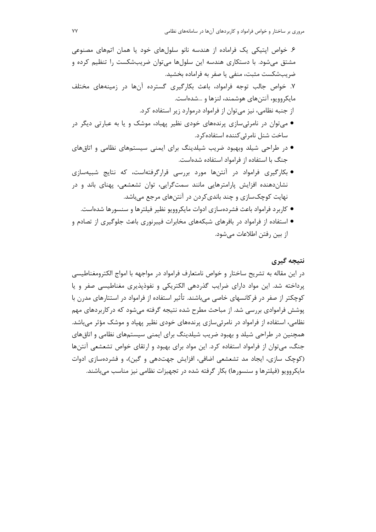مروری بر ساختار و خواص فرامواد و کاربردهای آنها در سامانههای نظامی

۶. خواص ایتیکی یک فراماده از هندسه نانو سلولهای خود یا همان اتمهای مصنوعی مشتق میشود. با دستکاری هندسه این سلولها می توان ضریبشکست را تنظیم کرده و ضريبشكست مثبت، منفى يا صفر به فراماده بخشيد. ۷. خواص جالب توجه فرامواد، باعث بکارگیری گسترده آنها در زمینههای مختلف مایکروویو، آنتنهای هوشمند، لنزها و …شدهاست. از جنبه نظامی، نیز میتوان از فرامواد درموارد زیر استفاده کرد. ● می توان در نامرئی سازی پرندههای خودی نظیر پهباد، موشک و یا به عبارتی دیگر در ساخت شنل نامرئی كننده استفاده كرد. ● در طراحی شیلد وبهبود ضریب شیلدینگ برای ایمنی سیستمهای نظامی و اتاقهای جنگ با استفاده از فرامواد استفاده شدهاست. • بکارگیری فرامواد در آنتنها مورد بررسی قرارگرفتهاست، که نتایج شبیهسازی نشان دهنده افزایش پارامترهایی مانند سمتگرایی، توان تشعشعی، پهنای باند و در نهایت کوچکسازی و چند باندیکردن در آنتنهای مرجع میباشد. ● کاربرد فرامواد باعث فشردهسازی ادوات مایکروویو نظیر فیلترها و سنسورها شدهاست. ● استفاده از فرامواد در بافرهای شبکههای مخابرات فیبرنوری باعث جلوگیری از تصادم و از بین رفتن اطلاعات مے شود.

## نتىجە گىرى

در این مقاله به تشریح ساختار و خواص نامتعارف فرامواد در مواجهه با امواج الکترومغناطیسی یرداخته شد. این مواد دارای ضرایب گذردهی الکتریکی و نفوذیذیری مغناطیسی صفر و یا کوچکتر از صفر در فرکانسهای خاصی میباشند. تأثیر استفاده از فرامواد در استتارهای مدرن با یوشش فراموادی بررسی شد. از مباحث مطرح شده نتیجه گرفته می شود که در کاربردهای مهم نظامی، استفاده از فرامواد در نامرئی سازی پرندههای خودی نظیر پهپاد و موشک مؤثر می باشد. همچنین در طراحی شیلد و بهبود ضریب شیلدینگ برای ایمنی سیستمهای نظامی و اتاق های جنگ، می توان از فرامواد استفاده کرد. این مواد برای بهبود و ارتقای خواص تشعشعی آنتنها (کوچک سازی، ایجاد مد تشعشعی اضافی، افزایش جهتدهی و گین)، و فشردهسازی ادوات مایکروویو (فیلترها و سنسورها) بکار گرفته شده در تجهیزات نظامی نیز مناسب می باشند.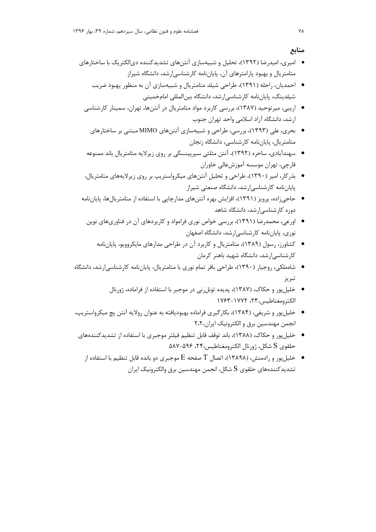منابع

- امیری، امیدرضا (۱۳۹۲)، تحلیل و شبیهسازی آنتنهای تشدیدکننده دیالکتریک با ساختارهای متامتریال و بهبود پارامترهای آن، پایاننامه کارشناسی|رشد، دانشگاه شیراز
	- احمدیان، راحله (۱۳۹۱)، طراحی شیلد متامتریال و شبیهسازی آن به منظور یهبود ضریب شیلدینگ، پایاننامه کارشناسیارشد، دانشگاه بینالمللی امامخمینی
	- اریبی، میرتوحید (۱۳۸۷)، بررسی کاربرد مواد متامتریال در آنتنها، تهران، سمینار کارشناسی ارشد، دانشگاه آزاد اسلامی واحد تهران جنوب
		- بحری، علی (۱۳۹۳)، بررسی، طراحی و شبیهسازی آنتنهای MIMO مبتنی بر ساختارهای متامتریال، پایاننامه کارشناسی، دانشگاه زنجان
	- سهندآبادی، ساحره (۱۳۹۲)، آنتن مثلثی سیرپینسکی بر روی زیرلایه متامتریال باند ممنوعه قارچی، تهران موسسه آموزشعالی خاوران
	- بذرکار، امیر (۱۳۹۰)، طراحی و تحلیل آنتنهای میکرواستریپ بر روی زیرلایههای متامتریال، یایاننامه کارشناسی ارشد، دانشگاه صنعتی شیراز
- حاجی;اده، پرویز (۱۳۹۱)، افزایش بهره آنتنهای مدارچایی با استفاده از متامتریالها، پایاننامه دوره کارشناسی ارشد، دانشگاه شاهد
	- اورعی، محمدرضا (۱۳۹۱)، بررسی خواص نوری فرامواد و کارپردهای آن در فناوریهای نوین نوری، پایان نامه کارشناسی ارشد، دانشگاه اصفهان
		- کشاورز، رسول (۱۳۸۹)، متامتریال و کاربرد آن در طراحی مدارهای مایکروویو، پایاننامه کارشناسی ارشد، دانشگاه شهید باهنر کرمان
- شاهملکی، روجیار (۱۳۹۰)، طراحی بافر تمام نوری با متامتریال، پایاننامه کارشناسی ارشد، دانشگاه تبريز
	- خلیل پور و حکاک، (۱۳۸۷)، پدیده تونل نی در موجبر با استفاده از فراماده، ژورنال الكترومغناطيس، ٢٣، ١٧٧٢-١٧۶٣
- خلیل پور و شریفی، (۱۳۸۴)، بکارگیری فراماده بهبودیافته به عنوان رولایه آنتن یچ میکرواستریپ، انجمن مهندسین برق و الکترونیک ایران،۲،۲
- خلیل یور و حکاک، (۱۳۸۸)، باند توقف قابل تنظیم فیلتر موجبری با استفاده از تشدیدکنندههای حلقوى S شكل، ژورنال الكترومغناطيس،٢۴، ۵۸۷-۵۸۷
	- $\vdash$  خلیل یور و رادمنش، (۱۳۸۹۸)، اتصال  $\Gamma$  صفحه  $\Xi$  موجبری دو بانده قابل تنظیم با استفاده از  $\bullet$ تشدیدکنندههای حلقوی S شکل، انجمن مهندسین برق والکترونیک ایران